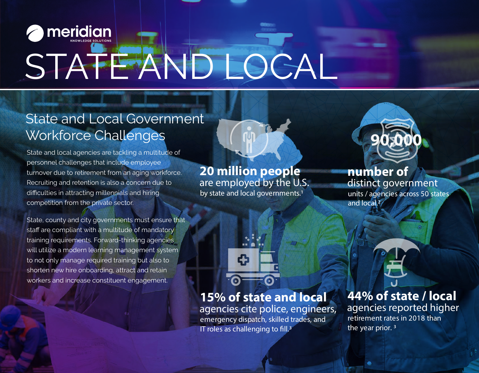# **meridian** STATE AND LOCAL

## State and Local Government Workforce Challenges

State and local agencies are tackling a multitude of personnel challenges that include employee turnover due to retirement from an aging workforce. Recruiting and retention is also a concern due to difficulties in attracting millennials and hiring competition from the private sector.

State, county and city governments must ensure that staff are compliant with a multitude of mandatory training requirements. Forward-thinking agencies will utilize a modern learning management system to not only manage required training but also to shorten new hire onboarding, attract and retain workers and increase constituent engagement.

are employed by the U.S. by state and local governments.<sup>1</sup> **20 million people** 



### distinct government **number of**

units / agencies across 50 states and local.2



IT roles as challenging to fill. $3$ 

agencies cite police, engineers, emergency dispatch, skilled trades, and **15% of state and local** 

agencies reported higher retirement rates in 2018 than the year prior. 3 **44% of state / local**